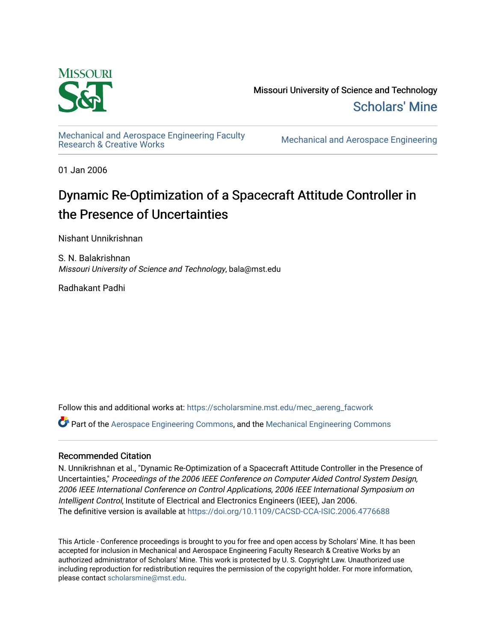

Missouri University of Science and Technology [Scholars' Mine](https://scholarsmine.mst.edu/) 

[Mechanical and Aerospace Engineering Faculty](https://scholarsmine.mst.edu/mec_aereng_facwork) 

**Mechanical and Aerospace Engineering** 

01 Jan 2006

# Dynamic Re-Optimization of a Spacecraft Attitude Controller in the Presence of Uncertainties

Nishant Unnikrishnan

S. N. Balakrishnan Missouri University of Science and Technology, bala@mst.edu

Radhakant Padhi

Follow this and additional works at: [https://scholarsmine.mst.edu/mec\\_aereng\\_facwork](https://scholarsmine.mst.edu/mec_aereng_facwork?utm_source=scholarsmine.mst.edu%2Fmec_aereng_facwork%2F3422&utm_medium=PDF&utm_campaign=PDFCoverPages) 

Part of the [Aerospace Engineering Commons](http://network.bepress.com/hgg/discipline/218?utm_source=scholarsmine.mst.edu%2Fmec_aereng_facwork%2F3422&utm_medium=PDF&utm_campaign=PDFCoverPages), and the [Mechanical Engineering Commons](http://network.bepress.com/hgg/discipline/293?utm_source=scholarsmine.mst.edu%2Fmec_aereng_facwork%2F3422&utm_medium=PDF&utm_campaign=PDFCoverPages) 

# Recommended Citation

N. Unnikrishnan et al., "Dynamic Re-Optimization of a Spacecraft Attitude Controller in the Presence of Uncertainties," Proceedings of the 2006 IEEE Conference on Computer Aided Control System Design, 2006 IEEE International Conference on Control Applications, 2006 IEEE International Symposium on Intelligent Control, Institute of Electrical and Electronics Engineers (IEEE), Jan 2006. The definitive version is available at <https://doi.org/10.1109/CACSD-CCA-ISIC.2006.4776688>

This Article - Conference proceedings is brought to you for free and open access by Scholars' Mine. It has been accepted for inclusion in Mechanical and Aerospace Engineering Faculty Research & Creative Works by an authorized administrator of Scholars' Mine. This work is protected by U. S. Copyright Law. Unauthorized use including reproduction for redistribution requires the permission of the copyright holder. For more information, please contact [scholarsmine@mst.edu.](mailto:scholarsmine@mst.edu)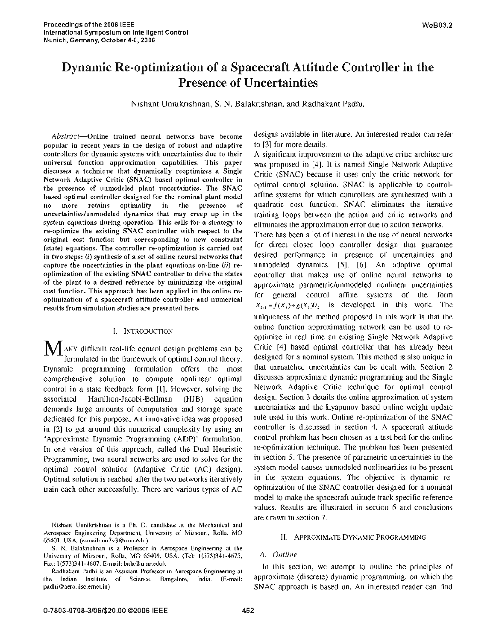# Dynamic Re-optimization of a Spacecraft Attitude Controller in the Presence of Uncertainties

Nishant Unnikrishnan, S. N. Balakrishnan, and Radhakant Padhi,

Abstract-Online trained neural networks have become popular in recent years in the design of robust and adaptive controllers for dynamic systems with uncertainties due to their universal function approximation capabilities. This paper discusses a technique that dynamically reoptimizes a Single Network Adaptive Critic (SNAC) based optimal controller in the presence of unmodeled plant uncertainties. The SNAC based optimal controller designed for the nominal plant model no more retains optimality in the presence of uncertainties/unmodeled dynamics that may creep up in the system equations during operation. This calls for a strategy to re-optimize the existing SNAC controller with respect to the original cost function but corresponding to new constraint (state) equations. The controller re-optimization is carried out in two steps:  $(i)$  synthesis of a set of online neural networks that capture the uncertainties in the plant equations on-line  $(ii)$  reoptimization of the existing SNAC controller to drive the states of the plant to a desired reference by minimizing the original cost function. This approach has been applied in the online reoptimization of a spacecraft attitude controller and numerical results from simulation studies are presented here.

## I. INTRODUCTION

M ANY difficult real-life control design problems can be formulated in the framework of optimal control theory. Dynamic programming formulation offers the most comprehensive solution to compute nonlinear optimal control in a state feedback form [1]. However, solving the associated Hamilton-Jacobi-Bellman (HJB) equation demands large amounts of computation and storage space dedicated for this purpose. An innovative idea was proposed in [2] to get around this numerical complexity by using an 'Approximate Dynamic Programming (ADP)' formulation. In one version of this approach, called the Dual Heuristic Programming, two neural networks are used to solve for the optimal control solution (Adaptive Critic (AC) design). Optimal solution is reached after the two networks iteratively train each other successfully. There are various types of AC

Nishant Unnikrishnan is a Ph. D. candidate at the Mechanical and Aerospace Engineering Department, University of Missouri, Rolla, MO 65401, USA. (e-mail: nu7v3@umr.edu).

S. N. Balakrishnan is a Professor in Aerospace Engineering at the University of Missouri, Rolla, MO 65409, USA. (Tel: 1(573)341-4675, Fax: 1(573)341-4607, E-mail: bala@umr.edu).

Radhakant Padhi is an Assistant Professor in Aerospace Engineering at Indian Institute of Science, Bangalore, India. (E-mail: padhi@aero.iisc.ernet.in)

designs available in literature. An interested reader can refer to [3] for more details.

A significant improvement to the adaptive critic architecture was proposed in [4]. It is named Single Network Adaptive Critic (SNAC) because it uses only the critic network for optimal control solution. SNAC is applicable to controlaffine systems for which controllers are synthesized with a quadratic cost function. SNAC eliminates the iterative training loops between the action and critic networks and eliminates the approximation error due to action networks.

There has been a lot of interest in the use of neural networks for direct closed loop controller design that guarantee desired performance in presence of uncertainties and unmodeled dynamics. [5], [6]. An adaptive optimal controller that makes use of online neural networks to approximate parametric/unmodeled nonlinear uncertainties for general control affine systems of the form  $X_{k+1} = f(X_k) + g(X_k)U_k$  is developed in this work. The uniqueness of the method proposed in this work is that the online function approximating network can be used to reoptimize in real time an existing Single Network Adaptive Critic [4] based optimal controller that has already been designed for a nominal system. This method is also unique in that unmatched uncertainties can be dealt with. Section 2 discusses approximate dynamic programming and the Single Network Adaptive Critic technique for optimal control design. Section 3 details the online approximation of system uncertainties and the Lyapunov based online weight update rule used in this work. Online re-optimization of the SNAC controller is discussed in section 4. A spacecraft attitude control problem has been chosen as a test bed for the online re-optimization technique. The problem has been presented in section 5. The presence of parametric uncertainties in the system model causes unmodeled nonlinearities to be present in the system equations. The objective is dynamic reoptimization of the SNAC controller designed for <sup>a</sup> nominal model to make the spacecraft attitude track specific reference values. Results are illustrated in section 6 and conclusions are drawn in section 7.

#### II. APPROXIMATE DYNAMIC PROGRAMMING

# A. Outline

In this section, we attempt to outline the principles of approximate (discrete) dynamic programming, on which the SNAC approach is based on. An interested reader can find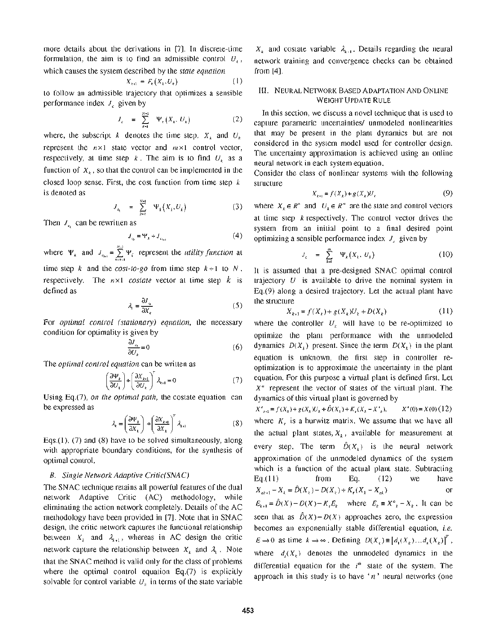more details about the derivations in [7]. In discrete-time formulation, the aim is to find an admissible control  $U_k$ , which causes the system described by the state equation

$$
X_{\epsilon+1} = F_{\epsilon}(X_{\epsilon}, U_{\epsilon}) \tag{1}
$$

to follow an admissible trajectory that optimizes a sensible performance index J, given by

$$
J_{\varepsilon} = \sum_{k=1}^{N-1} \Psi_k(X_k, U_k) \tag{2}
$$

where, the subscript k denotes the time step.  $X_k$  and  $U_k$ represent the  $n \times 1$  state vector and  $m \times 1$  control vector, respectively, at time step k. The aim is to find  $U_k$  as a function of  $X_k$ , so that the control can be implemented in the closed loop sense. First, the cost function from time step  $k$ is denoted as

$$
J_{e_k} = \sum_{k=1}^{N-1} \Psi_k(X_k, U_k)
$$
 (3)

Then  $J<sub>g</sub>$  can be rewritten as

$$
J_{\varphi} = \Psi_{\chi} + J_{\varepsilon_{\text{tot}}} \tag{4}
$$

where  $\Psi_k$  and  $J_{q_{k+1}} = \sum_{k=k+1}^{N-1} \Psi_k$  represent the *utility function* at time step k and the cost-to-go from time step  $k+1$  to N, respectively. The  $n \times 1$  costate vector at time step k is defined as

$$
\lambda_{\mathsf{x}} = \frac{\partial J_{\lambda_{\mathsf{x}}}}{\partial X_{\mathsf{x}}} \tag{5}
$$

For optimal control (stationary) equation, the necessary condition for optimality is given by

$$
\frac{\partial J_{\lambda}}{\partial U_{k}} = 0 \tag{6}
$$

The *optimal control equation* can be written as

$$
\left(\frac{\partial \Psi_{k}}{\partial U_{k}}\right) + \left(\frac{\partial X_{k+1}}{\partial U_{k}}\right)^{T} \lambda_{k+1} = 0
$$
\n(7)

Using Eq.(7), on the optimal path, the costate equation can be expressed as

$$
\lambda_{k} = \left(\frac{\partial \Psi_{k}}{\partial X_{k}}\right) + \left(\frac{\partial X_{k+1}}{\partial X_{k}}\right)^{T} \lambda_{k+1}
$$
\n(8)

Eqs.(l), (7) and (8) have to be solved simultaneously, along with appropriate boundary conditions, for the synthesis of optimal control.

#### B. Single Network Adaptive Critic(SNAC)

The SNAC technique retains all powerful features of the dual network Adaptive Critic (AC) methodology, while eliminating the action network completely. Details of the AC methodology have been provided in [7]. Note that in SNAC design, the critic network captures the functional relationship between  $X_k$  and  $\lambda_{k+1}$ , whereas in AC design the critic network capture the relationship between  $X_k$  and  $\lambda_k$ . Note that the SNAC method is valid only for the class of problems where the optimal control equation Eq.(7) is explicitly solvable for control variable  $U_k$  in terms of the state variable

 $X_k$  and costate variable  $\lambda_{k+1}$ . Details regarding the neural network training and convergence checks can be obtained from [4].

# III. NEURAL NETWORK BASED ADAPTATION AND ONLINE WEIGHT UPDATE RULE

In this section, we discuss a novel technique that is used to capture parametric uncertainties/ unmodeled nonlinearities that may be present in the plant dynamics but are not considered in the system model used for controller design. The uncertainty approximation is achieved using an online neural network in each system equation.

Consider the class of nonlinear systems with the following structure

$$
X_{k+1} = f(X_k) + g(X_k)U_k \tag{9}
$$

where  $X_k \in \mathbb{R}^n$  and  $U_k \in \mathbb{R}^m$  are the state and control vectors at time step  $k$  respectively. The control vector drives the system from an initial point to a final desired point optimizing a sensible performance index  $J<sub>g</sub>$  given by

$$
J_c = \sum_{k=1}^{\infty} \Psi_k(X_k, U_k) \tag{10}
$$

It is assumed that <sup>a</sup> pre-designed SNAC optimal control trajectory  $U$  is available to drive the nominal system in Eq.(9) along a desired trajectory. Let the actual plant have the structure

$$
X_{k+1} = f(X_k) + g(X_k)U_k + D(X_k)
$$
\n(11)

where the controller  $U_k$  will have to be re-optimized to optimize the plant performance with the unmodeled dynamics  $D(X_k)$  present. Since the term  $D(X_k)$  in the plant equation is unknown, the first step in controller reoptimization is to approximate the uncertainty in the plant equation. For this purpose a virtual plant is defined first. Let  $X^a$  represent the vector of states of the virtual plant. The dynamics of this virtual plant is governed by

 $X^a_{k+1} = f(X_k) + g(X_k)U_k + \hat{D}(X_k) + K_{i}(X_k - X^a)_k$ ,  $X^a(0) = X(0) (12)$ where  $K<sub>r</sub>$  is a hurwitz matrix. We assume that we have all the actual plant states,  $X_k$ , available for measurement at every step. The term  $\hat{D}(X_k)$  is the neural network approximation of the unmodeled dynamics of the system which is a function of the actual plant state. Subtracting Eq.(11) from Eq. (12) we have  $X_{ak+1} - X_k = \hat{D}(X_k) - D(X_k) + K_r(X_k - X_{ak})$  or  $E_{k+1} = \hat{D}(X) - D(X) - K_{k}E_{k}$  where  $E_{k} = X_{k}^{a} - X_{k}$ . It can be seen that as  $\hat{D}(X) - D(X)$  approaches zero, the expression becomes an exponentially stable differential equation, *i.e.*  $E \to 0$  as time  $k \to \infty$ . Defining  $D(X_k) = [d_1(X_k)... d_n(X_k)]^T$ , where  $d_i(X_k)$  denotes the unmodeled dynamics in the differential equation for the  $i<sup>th</sup>$  state of the system. The approach in this study is to have 'n' neural networks (one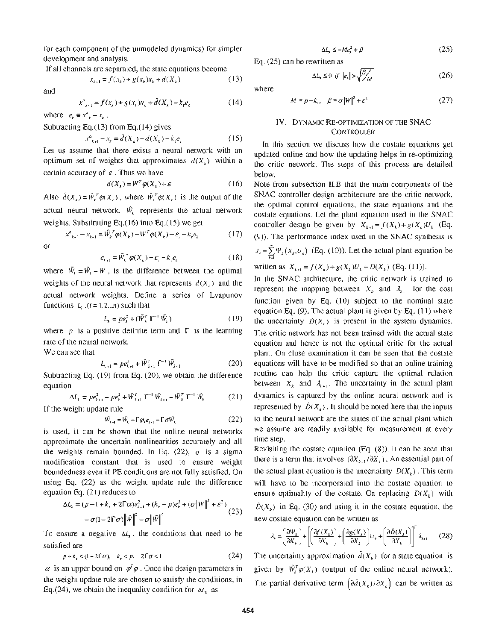for each component of the unmodeled dynamics) for simpler development and analysis.

If all channels are separated, the state equations become

$$
x_{k+1} = f(x_k) + g(x_k)u_k + d(X_k)
$$
 (13)

and

$$
x^a{}_{k+1} = f(x_k) + g(x_k)u_k + \hat{d}(X_k) - k_r e_k \tag{14}
$$

where  $e_k \equiv x_{k}^{a} - x_{k}$ .

Subtracting Eq.(13) from Eq.(14) gives

$$
x_{k+1}^{a} - x_{k} = d(X_{k}) - d(X_{k}) - k_{k}e_{k}
$$
 (15)

Let us assume that there exists a neural network with an optimum set of weights that approximates  $d(X_k)$  within a certain accuracy of  $\varepsilon$ . Thus we have

$$
d(X_k) = W^T \varphi(X_k) + \varepsilon \tag{16}
$$

Also  $\hat{d}(X_k) = \hat{W}_k^T \varphi(X_k)$ , where  $\hat{W}_k^T \varphi(X_k)$  is the output of the actual neural network.  $\hat{W}_1$  represents the actual network weights. Substituting Eq. $(16)$  into Eq. $(15)$  we get

$$
x_{k+1}^{a} - x_{k+1} = \hat{W}_k^T \varphi(X_k) - W^T \varphi(X_k) - \varepsilon_i - k_i e_k \tag{17}
$$

or

$$
e_{k+1} = \tilde{W}_k^T \varphi(X_k) - \varepsilon_i - k_i e_k \tag{18}
$$

where  $\tilde{W}_i = \hat{W}_i - W$ , is the difference between the optimal weights of the neural network that represents  $d(X_k)$  and the actual network weights. Define a series of Lyapunov functions  $L_i$ ,  $(i = 1, 2...n)$  such that

$$
L_k = pe_k^2 + (\tilde{W}_k^T \Gamma^{-1} \tilde{W}_k)
$$
 (19)

where  $p$  is a positive definite term and  $\Gamma$  is the learning rate of the neural network.

We can see that

$$
L_{k+1} = pe_{k+1}^2 + \tilde{W}_{k+1}^T \Gamma^{-1} \tilde{W}_{k+1}
$$
 (20)

Subtracting Eq. (19) from Eq. (20), we obtain the difference equation

$$
\Delta L_k = pe_{k+1}^2 - pe_k^2 + \tilde{W}_{k+1}^T \Gamma^{-1} \tilde{W}_{k+1} - \tilde{W}_k^T \Gamma^{-1} \tilde{W}_k
$$
\nequation of the rule.

If the weight update rule

$$
\hat{W}_{k+1} = \hat{W}_k - \Gamma \varphi_k \varepsilon_{k+1} - \Gamma \sigma \hat{W}_k \tag{22}
$$

is used, it can be shown that the online neural networks approximate the uncertain nonlinearities accurately and all the weights remain bounded. In Eq. (22),  $\sigma$  is a sigma modification constant that is used to ensure weight boundedness even if PE conditions are not fully satisfied. On using Eq. (22) as the weight update rule the difference equation Eq. (21) reduces to

$$
\Delta L_k = (p - 1 + k_r + 2\Gamma\alpha)e_{k+1}^2 + (k_r - p)e_k^2 + (\sigma ||W||^2 + \varepsilon^2)
$$
  

$$
-\sigma(1 - 2\Gamma\sigma) ||\hat{W}||^2 - \sigma ||\tilde{W}||^2
$$
 (23)

To ensure a negative  $\Delta t$ , the conditions that need to be satisfied are

$$
p + k_t < (1 - 2\Gamma\alpha), \quad k_t < p, \quad 2\Gamma\sigma < 1 \tag{24}
$$

 $\alpha$  is an upper bound on  $\varphi^T\varphi$ . Once the design parameters in the weight update rule are chosen to satisfy the conditions, in Eq.(24), we obtain the inequality condition for  $\Delta L_k$  as

$$
\Delta L_{\lambda} \le -Mc_{\lambda}^2 + \beta \tag{25}
$$

Eq. (25) can be rewritten as

$$
\Delta L_x \le 0 \text{ if } |e_x| > \sqrt{\frac{\beta}{M}} \tag{26}
$$

where

$$
M \equiv p - k_x, \quad \beta \equiv \sigma \|W\|^2 + \varepsilon^2 \tag{27}
$$

# IV. DYNAMIC RE-OPTIMIZATION OF THE SNAC **CONTROLLER**

In this section we discuss how the costate equations get updated online and how the updating helps in re-optimizing the critic network. The steps of this process are detailed below.

Note from subsection II.B that the main components of the SNAC controller design architecture are the critic network, the optimal control equations, the state equations and the costate equations. Let the plant equation used in the SNAC controller design be given by  $X_{k+1} = f(X_k) + g(X_k)U_k$  (Eq. (9)). The performance index used in the SNAC synthesis is  $J_c = \sum_{k=1}^{\infty} \Psi_k (X_k, U_k)$  (Eq. (10)). Let the actual plant equation be k=1 written as  $X_{k+1} = f(X_k) + g(X_k)U_k + D(X_k)$  (Eq. (11)).

In the SNAC architecture, the critic network is trained to represent the mapping between  $X_k$  and  $\lambda_{k+1}$  for the cost function given by Eq. (10) subject to the nominal state equation Eq.  $(9)$ . The actual plant is given by Eq.  $(11)$  where the uncertainty  $D(X_k)$  is present in the system dynamics. The critic network has not been trained with the actual state equation and hence is not the optimal critic for the actual plant. On close examination it can be seen that the costate equations will have to be modified so that an online training routine can help the critic capture the optimal relation between  $X_k$  and  $\lambda_{k+1}$ . The uncertainty in the actual plant dynamics is captured by the online neural network and is represented by  $\hat{D}(X_k)$ . It should be noted here that the inputs to the neural network are the states of the actual plant which we assume are readily available for measurement at every time step.

Revisiting the costate equation  $(Eq. (8))$ , it can be seen that there is a term that involves  $(\partial X_{k+1}/\partial X_k)$ . An essential part of the actual plant equation is the uncertainty  $D(X_k)$ . This term will have to be incorporated into the costate equation to ensure optimality of the costate. On replacing  $D(X_k)$  with  $\hat{D}(X_k)$  in Eq. (30) and using it in the costate equation, the new costate equation can be written as

$$
\lambda_{\epsilon} = \left(\frac{\partial \Psi_{\epsilon}}{\partial X_{\epsilon}}\right) + \left[\left(\frac{\partial f(X_{\epsilon})}{\partial X_{\epsilon}}\right) + \left(\frac{\partial g(X_{\epsilon})}{\partial X_{\epsilon}}\right)U_{\epsilon} + \left(\frac{\partial \hat{D}(X_{\epsilon})}{\partial X_{\epsilon}}\right)\right]^{T} \lambda_{\epsilon+1} \qquad (28)
$$

The uncertainty approximation  $\hat{d}(X<sub>k</sub>)$  for a state equation is given by  $\hat{W}_k^T \varphi(X_k)$  (output of the online neural network). The partial derivative term  $\left(\frac{\partial \hat{d}(X_k)}{\partial X_k}\right)$  can be written as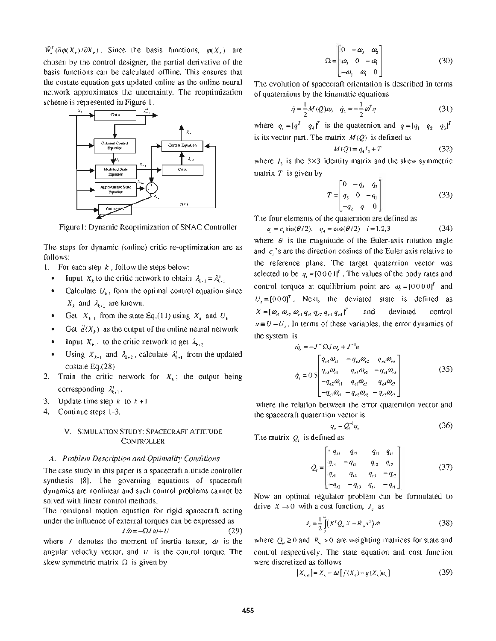$\hat{W}_{\epsilon}^{T}(\partial \varphi(X_{\epsilon})/\partial X_{\epsilon})$ . Since the basis functions,  $\varphi(X_{\epsilon})$  are chosen by the control designer, the partial derivative of the basis functions can be calculated offline. This ensures that the costate equation gets updated online as the online neural network approximates the uncertainty. The reoptimization scheme is represented in Figure 1.



Figure1: Dynamic Reoptimization of SNAC Controller

The steps for dynamic (online) critic re-optimization are as follows:

- 1. For each step  $k$ , follow the steps below:
	- Input  $X_k$  to the critic network to obtain  $\lambda_{k+1} = \lambda_{k+1}^a$
	- Calculate  $U_k$ , form the optimal control equation since  $X_k$  and  $\lambda_{k+1}$  are known.
	- Get  $X_{k+1}$  from the state Eq.(11) using  $X_k$  and  $U_k$
	- Get  $\hat{d}(X_k)$  as the output of the online neural network
	- Input  $X_{k+1}$  to the critic network to get  $\lambda_{k+2}$
	- Using  $X_{k+1}$  and  $\lambda_{k+2}$ , calculate  $\lambda'_{k+1}$  from the updated costate Eq.(28)
- 2. Train the critic network for  $X_k$ ; the output being corresponding  $\lambda_{k+1}^1$ .
- 3. Update time step  $k$  to  $k+1$
- 4. Continue steps 1-3.

#### V. SIMULATION STUDY: SPACECRAFT ATTITUDE **CONTROLLER**

#### A. Problem Description and Optimality Conditions

The case study in this paper is a spacecraft attitude controller synthesis [8]. The governing equations of spacecraft dynamics are nonlinear and such control problems cannot be solved with linear control methods.

The rotational motion equation for rigid spacecraft acting under the influence of external torques can be expressed as

$$
J\dot{\omega} = -\Omega J \omega + U \tag{29}
$$

where  $J$  denotes the moment of inertia tensor,  $\omega$  is the angular velocity vector, and  $U$  is the control torque. The skew symmetric matrix  $\Omega$  is given by

$$
\Omega = \begin{bmatrix} 0 & -\omega_3 & \omega_2 \\ \omega_3 & 0 & -\omega_1 \\ -\omega_2 & \omega_1 & 0 \end{bmatrix}
$$
 (30)

The evolution of spacecraft orientation is described in terms of quaternions by the kinematic equations

$$
\dot{q} = \frac{1}{2}M(Q)\omega, \quad \dot{q}_4 = -\frac{1}{2}\omega^T q \tag{31}
$$

where  $q_x = [q^T \ q_4]^T$  is the quaternion and  $q = [q_1 \ q_2 \ q_3]^T$ is its vector part. The matrix  $M(Q)$  is defined as

$$
M(Q) = q_4 I_3 + T \tag{32}
$$

where  $I_3$  is the 3×3 identity matrix and the skew symmetric matrix  $T$  is given by

$$
T = \begin{bmatrix} 0 & -q_3 & q_2 \\ q_3 & 0 & -q_1 \\ -q_2 & q_1 & 0 \end{bmatrix}
$$
 (33)

The four elements of the quaternion are defined as

$$
q_i = c_i \sin(\theta/2), \quad q_4 = \cos(\theta/2) \quad i = 1, 2, 3
$$
 (34)

where  $\theta$  is the magnitude of the Euler-axis rotation angle and  $c_i$ 's are the direction cosines of the Euler axis relative to the reference plane. The target quaternion vector was selected to be  $q_i = [0001]^T$ . The values of the body rates and control torques at equilibrium point are  $\omega = [00000]^T$  and  $U = [000]<sup>T</sup>$ . Next, the deviated state is defined as  $X = [\omega_{c1} \omega_{c2} \omega_{c3} q_{c1} q_{c2} q_{c3} q_{c4}]^T$  and deviated control  $u = U - U_t$ . In terms of these variables, the error dynamics of the system is

$$
\dot{\omega}_{e} = -J^{-1} \Omega J \omega_{e} + J^{-1} u
$$
\n
$$
\dot{q}_{e} = 0.5 \begin{bmatrix} q_{e4} \omega_{e1} & -q_{e3} \omega_{e2} & q_{e2} \omega_{e3} \\ q_{e3} \omega_{e1} & q_{e4} \omega_{e2} & -q_{e4} \omega_{e3} \\ -q_{e2} \omega_{e1} & q_{e1} \omega_{e2} & q_{e4} \omega_{e3} \\ -q_{e1} \omega_{e1} & -q_{e2} \omega_{e2} & -q_{e3} \omega_{e3} \end{bmatrix}
$$
\n(35)

where the relation between the error quaternion vector and the spacecraft quaternion vector is

$$
q_{\epsilon} = Q_{\epsilon}^{-1} q_{s} \tag{36}
$$

The matrix  $Q_i$  is defined as

$$
Q_{i} = \begin{bmatrix} -q_{i3} & q_{i2} & q_{i1} & q_{i4} \\ q_{i4} & -q_{i1} & q_{i2} & q_{i3} \\ q_{i1} & q_{i4} & q_{i3} & -q_{i2} \\ -q_{i2} & -q_{i3} & q_{i4} & -q_{i1} \end{bmatrix}
$$
(37)

Now an optimal regulator problem can be formulated to drive  $X \to 0$  with a cost function,  $J<sub>c</sub>$  as

$$
J_{s} = \frac{1}{2} \int_{0}^{\infty} \left( X^{T} Q_{r} X + R_{r} u^{2} \right) dt
$$
 (38)

where  $Q_{\nu} \ge 0$  and  $R_{\nu} > 0$  are weighting matrices for state and control respectively. The state equation and cost function were discretized as follows

$$
[X_{t+1}] = X_t + \Delta t [f(X_t) + g(X_t)u_t]
$$
 (39)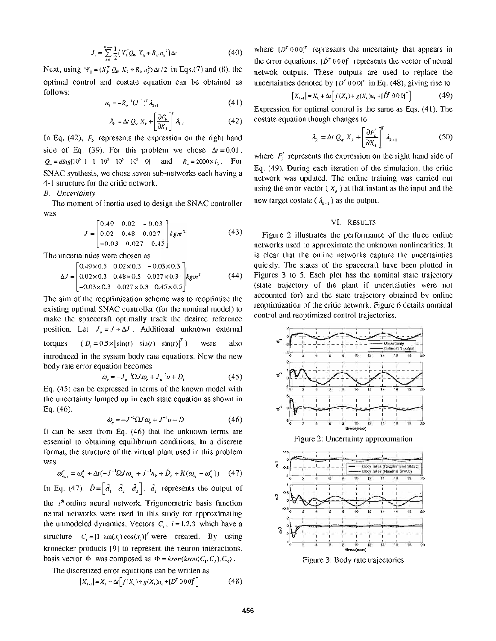$$
J_{\epsilon} = \sum_{k=1}^{N_{\text{max}}} \frac{1}{2} \left( X_k^{\text{T}} Q_{\text{w}} X_k + R_{\text{w}} u_k^{\text{T}} \right) \Delta t \tag{40}
$$

Next, using  $\Psi_i = (X_i^T Q_w X_i + R_w u_i^2) \Delta t/2$  in Eqs.(7) and (8), the optimal control and costate equation can be obtained as follows:

$$
u_k = -R_k^{-1} (J^{-1})^T \lambda_{k+1}
$$
 (41)

$$
\lambda_{k} = \Delta t Q_{w} X_{k} + \left[\frac{\partial F_{k}}{\partial X_{k}}\right]^{T} \lambda_{k,i} \tag{42}
$$

In Eq.  $(42)$ ,  $F_k$  represents the expression on the right hand side of Eq. (39). For this problem we chose  $\Delta t = 0.01$ ,  $Q_e = diag[10^5 \ 1 \ 1 \ 10^5 \ 10^5 \ 10^6 \ 0]$  and  $R_e = 2000 \times I_s$ . For SNAC synthesis, we chose seven sub-networks each having <sup>a</sup> 4-1 structure for the critic network.

# B. Uncertainty

The moment of inertia used to design the SNAC controller was

$$
J = \begin{bmatrix} 0.49 & 0.02 & -0.03 \\ 0.02 & 0.48 & 0.027 \\ -0.03 & 0.027 & 0.45 \end{bmatrix} kgm^2
$$
 (43)

The uncertainties were chosen as

$$
\Delta J = \begin{bmatrix} 0.49 \times 0.5 & 0.02 \times 0.3 & -0.03 \times 0.3 \\ 0.02 \times 0.3 & 0.48 \times 0.5 & 0.027 \times 0.3 \\ -0.03 \times 0.3 & 0.027 \times 0.3 & 0.45 \times 0.5 \end{bmatrix} k \text{g} m^2 \tag{44}
$$

The aim of the reoptimization scheme was to reoptimize the existing optimal SNAC controller (for the nominal model) to make the spacecraft optimally track the desired reference position. Let  $J_n = J + \Delta J$ . Additional unknown external torques  $(D_1 = 0.5 \times [\sin(t) \sin(t) \sin(t)]^T)$  were also introduced in the system body rate equations. Now the new body rate error equation becomes

$$
\dot{\omega}_e = -J_n^{-1} \Omega J \omega_e + J_n^{-1} u + D_i \tag{45}
$$

Eq. (45) can be expressed in terms of the known model with the uncertainty lumped up in each state equation as shown in Eq. (46).

$$
\omega_e = -J^{-1} \Omega J \omega_e + J^{-1} u + D \tag{46}
$$

It can be seen from Eq. (46) that the unknown terms are essential to obtaining equilibrium conditions. In a discrete format, the structure of the virtual plant used in this problem was

$$
\omega_{\mathbf{e}_{\alpha}}^a = \omega_{\mathbf{e}_\alpha}^a + \Delta t (-J^{-1} \Omega J \omega_{\mathbf{e}_\alpha} + J^{-1} u_k + \hat{D}_k + K(\omega_{\mathbf{e}_\alpha} - \omega_{\mathbf{e}_\alpha}^a)) \quad (47)
$$

In Eq. (47),  $\hat{D} = \begin{bmatrix} \hat{d}_1 & \hat{d}_2 & \hat{d}_3 \end{bmatrix}$ .  $\hat{d}_i$  represents the output of the  $i<sup>n</sup>$  online neural network. Trigonometric basis function neural networks were used in this study for approximating the unmodeled dynamics. Vectors  $C_i$ ,  $i = 1,2,3$  which have a structure  $C_i = [1 \sin(x_i) \cos(x_i)]^T$  were created. By using kronecker products [9] to represent the neuron interactions, basis vector  $\Phi$  was composed as  $\Phi = kron(kron(C_1, C_2), C_3)$ .

The discretized error equations can be written as

$$
[X_{k+1}] = X_k + \Delta t \left[ f(X_k) + g(X_k) u_k + [D^T 0 0 0]^T \right]
$$
 (48)

where  $[D^r 0 0 0]$ <sup>r</sup> represents the uncertainty that appears in the error equations.  $[\hat{D}^T 0 0 0]^T$  represents the vector of neural netwok outputs. These outputs are used to replace the uncertainties denoted by  $[D^{\tau} 000]^T$  in Eq. (48), giving rise to

$$
[X_{k+1}] = X_k + \Delta t \left[ f(X_k) + g(X_k) u_k + [\hat{D}^T 0 0 0]^T \right]
$$
 (49)

Expression for optimal control is the same as Eqs. (41). The costate equation though changes to

$$
\lambda_{\mathbf{R}} = \Delta t \, Q_{\mathbf{w}} \, X_{\mathbf{R}} + \left[ \frac{\partial F_{\mathbf{k}}^{\perp}}{\partial X_{\mathbf{k}}} \right]^T \lambda_{\mathbf{k} + \mathbf{I}} \tag{50}
$$

where  $F_k$  represents the expression on the right hand side of Eq. (49). During each iteration of the simulation, the critic network was updated. The online training was carried out using the error vector ( $X<sub>k</sub>$ ) at that instant as the input and the new target costate ( $\lambda_{k+1}$ ) as the output.

#### VI. RESULTS

Figure 2 illustrates the performance of the three online networks used to approximate the unknown nonlinearities. It is clear that the online networks capture the uncertainties quickly. The states of the spacecraft have been plotted in Figures 3 to 5. Each plot has the nominal state trajectory (state trajectory of the plant if uncertainties were not accounted for) and the state trajectory obtained by online reoptimization of the critic network. Figure 6 details nominal control and reoptimized control trajectories.



Figure 2: Uncertainty approximation



Figure 3: Body rate trajectories